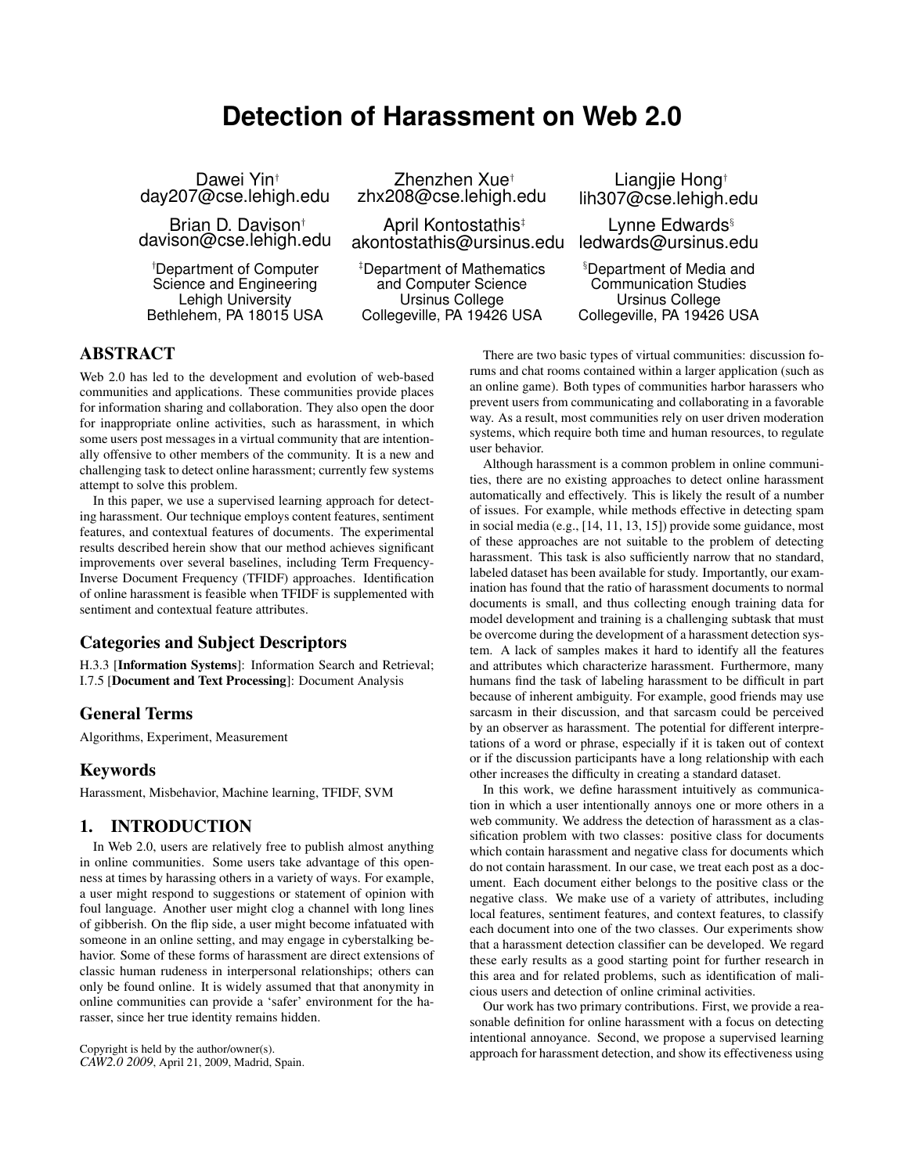# **Detection of Harassment on Web 2.0**

Dawei Yin† day207@cse.lehigh.edu

Brian D. Davison† davison@cse.lehigh.edu

†Department of Computer Science and Engineering Lehigh University Bethlehem, PA 18015 USA

Zhenzhen Xue† zhx208@cse.lehigh.edu

April Kontostathis‡ akontostathis@ursinus.edu

‡Department of Mathematics and Computer Science Ursinus College Collegeville, PA 19426 USA

Liangjie Hong† lih307@cse.lehigh.edu

Lynne Edwards<sup>§</sup> ledwards@ursinus.edu

§Department of Media and Communication Studies Ursinus College Collegeville, PA 19426 USA

# ABSTRACT

Web 2.0 has led to the development and evolution of web-based communities and applications. These communities provide places for information sharing and collaboration. They also open the door for inappropriate online activities, such as harassment, in which some users post messages in a virtual community that are intentionally offensive to other members of the community. It is a new and challenging task to detect online harassment; currently few systems attempt to solve this problem.

In this paper, we use a supervised learning approach for detecting harassment. Our technique employs content features, sentiment features, and contextual features of documents. The experimental results described herein show that our method achieves significant improvements over several baselines, including Term Frequency-Inverse Document Frequency (TFIDF) approaches. Identification of online harassment is feasible when TFIDF is supplemented with sentiment and contextual feature attributes.

# Categories and Subject Descriptors

H.3.3 [Information Systems]: Information Search and Retrieval; I.7.5 [Document and Text Processing]: Document Analysis

## General Terms

Algorithms, Experiment, Measurement

## Keywords

Harassment, Misbehavior, Machine learning, TFIDF, SVM

## 1. INTRODUCTION

In Web 2.0, users are relatively free to publish almost anything in online communities. Some users take advantage of this openness at times by harassing others in a variety of ways. For example, a user might respond to suggestions or statement of opinion with foul language. Another user might clog a channel with long lines of gibberish. On the flip side, a user might become infatuated with someone in an online setting, and may engage in cyberstalking behavior. Some of these forms of harassment are direct extensions of classic human rudeness in interpersonal relationships; others can only be found online. It is widely assumed that that anonymity in online communities can provide a 'safer' environment for the harasser, since her true identity remains hidden.

There are two basic types of virtual communities: discussion forums and chat rooms contained within a larger application (such as an online game). Both types of communities harbor harassers who prevent users from communicating and collaborating in a favorable way. As a result, most communities rely on user driven moderation systems, which require both time and human resources, to regulate user behavior.

Although harassment is a common problem in online communities, there are no existing approaches to detect online harassment automatically and effectively. This is likely the result of a number of issues. For example, while methods effective in detecting spam in social media (e.g., [14, 11, 13, 15]) provide some guidance, most of these approaches are not suitable to the problem of detecting harassment. This task is also sufficiently narrow that no standard, labeled dataset has been available for study. Importantly, our examination has found that the ratio of harassment documents to normal documents is small, and thus collecting enough training data for model development and training is a challenging subtask that must be overcome during the development of a harassment detection system. A lack of samples makes it hard to identify all the features and attributes which characterize harassment. Furthermore, many humans find the task of labeling harassment to be difficult in part because of inherent ambiguity. For example, good friends may use sarcasm in their discussion, and that sarcasm could be perceived by an observer as harassment. The potential for different interpretations of a word or phrase, especially if it is taken out of context or if the discussion participants have a long relationship with each other increases the difficulty in creating a standard dataset.

In this work, we define harassment intuitively as communication in which a user intentionally annoys one or more others in a web community. We address the detection of harassment as a classification problem with two classes: positive class for documents which contain harassment and negative class for documents which do not contain harassment. In our case, we treat each post as a document. Each document either belongs to the positive class or the negative class. We make use of a variety of attributes, including local features, sentiment features, and context features, to classify each document into one of the two classes. Our experiments show that a harassment detection classifier can be developed. We regard these early results as a good starting point for further research in this area and for related problems, such as identification of malicious users and detection of online criminal activities.

Our work has two primary contributions. First, we provide a reasonable definition for online harassment with a focus on detecting intentional annoyance. Second, we propose a supervised learning approach for harassment detection, and show its effectiveness using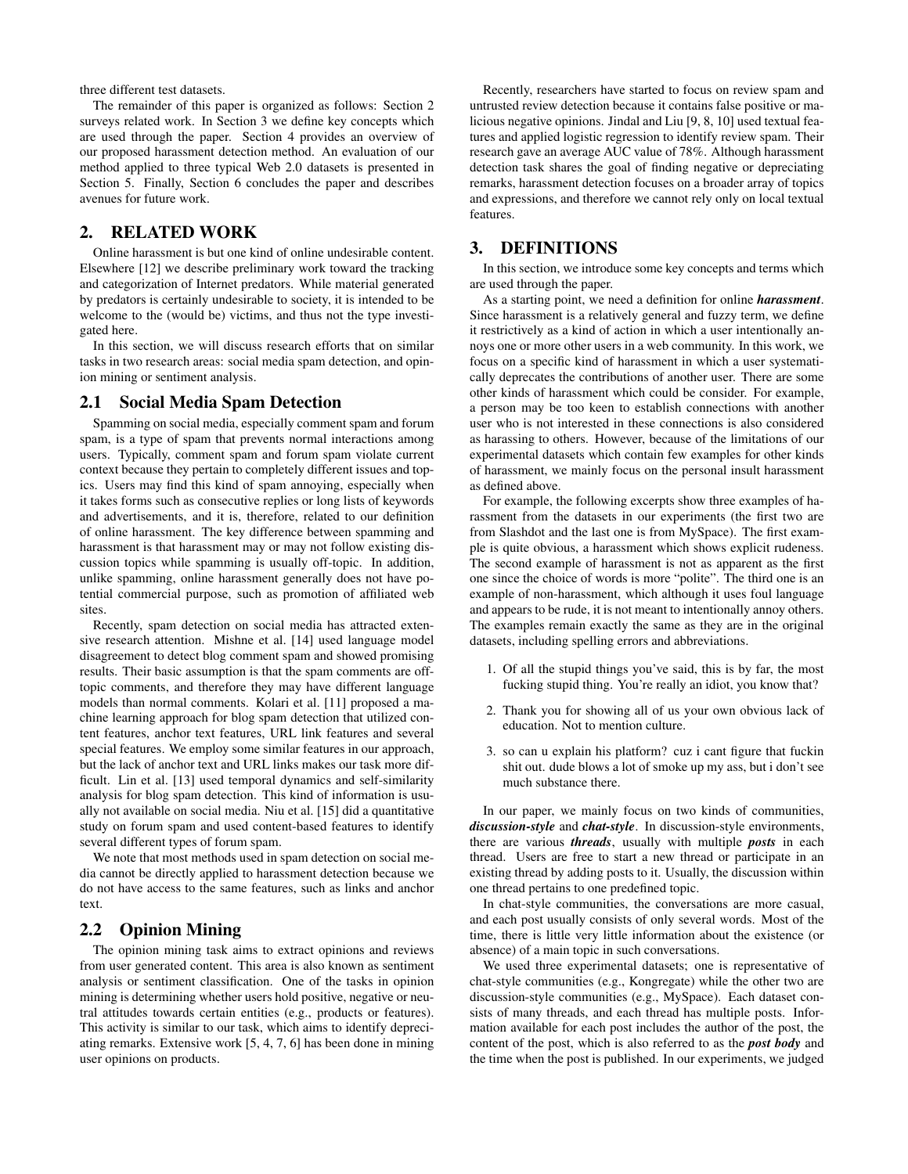three different test datasets.

The remainder of this paper is organized as follows: Section 2 surveys related work. In Section 3 we define key concepts which are used through the paper. Section 4 provides an overview of our proposed harassment detection method. An evaluation of our method applied to three typical Web 2.0 datasets is presented in Section 5. Finally, Section 6 concludes the paper and describes avenues for future work.

# 2. RELATED WORK

Online harassment is but one kind of online undesirable content. Elsewhere [12] we describe preliminary work toward the tracking and categorization of Internet predators. While material generated by predators is certainly undesirable to society, it is intended to be welcome to the (would be) victims, and thus not the type investigated here.

In this section, we will discuss research efforts that on similar tasks in two research areas: social media spam detection, and opinion mining or sentiment analysis.

## 2.1 Social Media Spam Detection

Spamming on social media, especially comment spam and forum spam, is a type of spam that prevents normal interactions among users. Typically, comment spam and forum spam violate current context because they pertain to completely different issues and topics. Users may find this kind of spam annoying, especially when it takes forms such as consecutive replies or long lists of keywords and advertisements, and it is, therefore, related to our definition of online harassment. The key difference between spamming and harassment is that harassment may or may not follow existing discussion topics while spamming is usually off-topic. In addition, unlike spamming, online harassment generally does not have potential commercial purpose, such as promotion of affiliated web sites.

Recently, spam detection on social media has attracted extensive research attention. Mishne et al. [14] used language model disagreement to detect blog comment spam and showed promising results. Their basic assumption is that the spam comments are offtopic comments, and therefore they may have different language models than normal comments. Kolari et al. [11] proposed a machine learning approach for blog spam detection that utilized content features, anchor text features, URL link features and several special features. We employ some similar features in our approach, but the lack of anchor text and URL links makes our task more difficult. Lin et al. [13] used temporal dynamics and self-similarity analysis for blog spam detection. This kind of information is usually not available on social media. Niu et al. [15] did a quantitative study on forum spam and used content-based features to identify several different types of forum spam.

We note that most methods used in spam detection on social media cannot be directly applied to harassment detection because we do not have access to the same features, such as links and anchor text.

## 2.2 Opinion Mining

The opinion mining task aims to extract opinions and reviews from user generated content. This area is also known as sentiment analysis or sentiment classification. One of the tasks in opinion mining is determining whether users hold positive, negative or neutral attitudes towards certain entities (e.g., products or features). This activity is similar to our task, which aims to identify depreciating remarks. Extensive work [5, 4, 7, 6] has been done in mining user opinions on products.

Recently, researchers have started to focus on review spam and untrusted review detection because it contains false positive or malicious negative opinions. Jindal and Liu [9, 8, 10] used textual features and applied logistic regression to identify review spam. Their research gave an average AUC value of 78%. Although harassment detection task shares the goal of finding negative or depreciating remarks, harassment detection focuses on a broader array of topics and expressions, and therefore we cannot rely only on local textual features.

# 3. DEFINITIONS

In this section, we introduce some key concepts and terms which are used through the paper.

As a starting point, we need a definition for online *harassment*. Since harassment is a relatively general and fuzzy term, we define it restrictively as a kind of action in which a user intentionally annoys one or more other users in a web community. In this work, we focus on a specific kind of harassment in which a user systematically deprecates the contributions of another user. There are some other kinds of harassment which could be consider. For example, a person may be too keen to establish connections with another user who is not interested in these connections is also considered as harassing to others. However, because of the limitations of our experimental datasets which contain few examples for other kinds of harassment, we mainly focus on the personal insult harassment as defined above.

For example, the following excerpts show three examples of harassment from the datasets in our experiments (the first two are from Slashdot and the last one is from MySpace). The first example is quite obvious, a harassment which shows explicit rudeness. The second example of harassment is not as apparent as the first one since the choice of words is more "polite". The third one is an example of non-harassment, which although it uses foul language and appears to be rude, it is not meant to intentionally annoy others. The examples remain exactly the same as they are in the original datasets, including spelling errors and abbreviations.

- 1. Of all the stupid things you've said, this is by far, the most fucking stupid thing. You're really an idiot, you know that?
- 2. Thank you for showing all of us your own obvious lack of education. Not to mention culture.
- 3. so can u explain his platform? cuz i cant figure that fuckin shit out. dude blows a lot of smoke up my ass, but i don't see much substance there.

In our paper, we mainly focus on two kinds of communities, *discussion-style* and *chat-style*. In discussion-style environments, there are various *threads*, usually with multiple *posts* in each thread. Users are free to start a new thread or participate in an existing thread by adding posts to it. Usually, the discussion within one thread pertains to one predefined topic.

In chat-style communities, the conversations are more casual, and each post usually consists of only several words. Most of the time, there is little very little information about the existence (or absence) of a main topic in such conversations.

We used three experimental datasets; one is representative of chat-style communities (e.g., Kongregate) while the other two are discussion-style communities (e.g., MySpace). Each dataset consists of many threads, and each thread has multiple posts. Information available for each post includes the author of the post, the content of the post, which is also referred to as the *post body* and the time when the post is published. In our experiments, we judged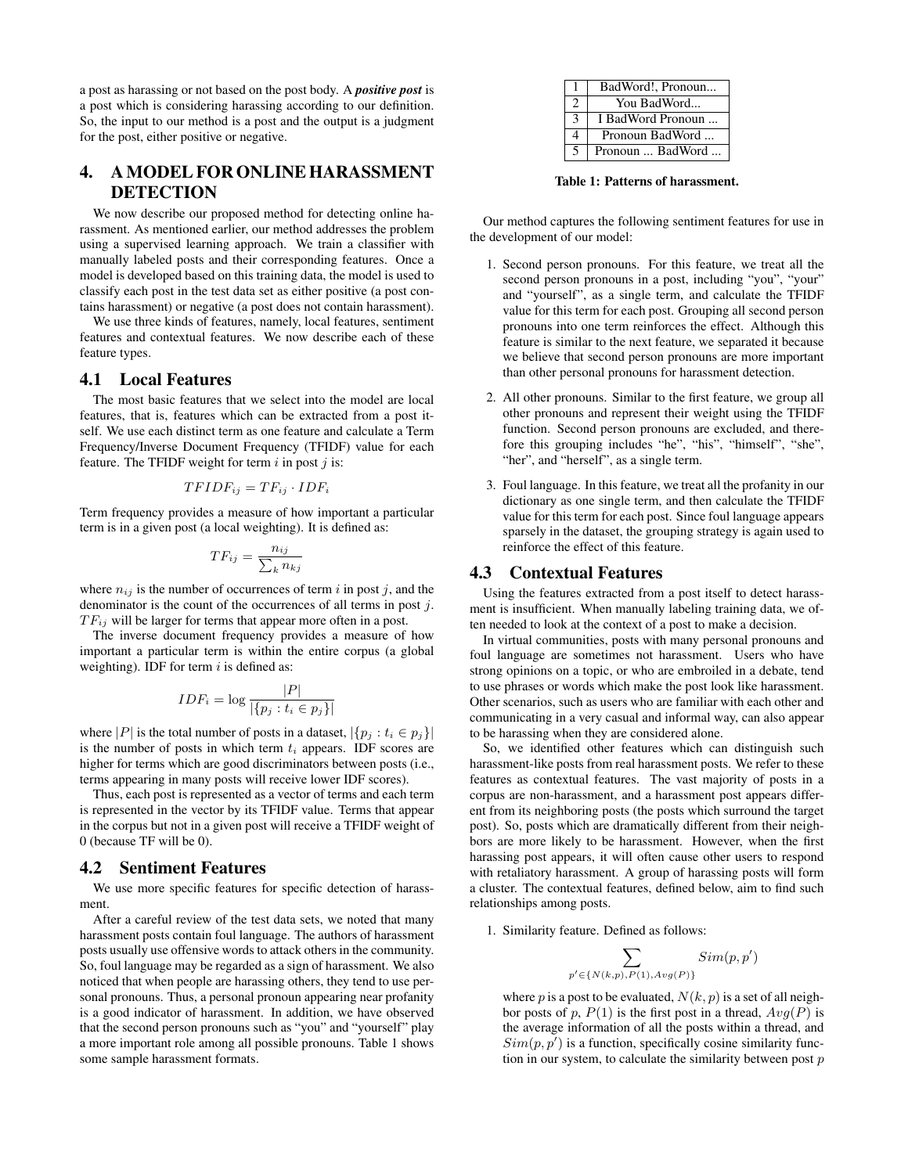a post as harassing or not based on the post body. A *positive post* is a post which is considering harassing according to our definition. So, the input to our method is a post and the output is a judgment for the post, either positive or negative.

# 4. A MODEL FOR ONLINE HARASSMENT DETECTION

We now describe our proposed method for detecting online harassment. As mentioned earlier, our method addresses the problem using a supervised learning approach. We train a classifier with manually labeled posts and their corresponding features. Once a model is developed based on this training data, the model is used to classify each post in the test data set as either positive (a post contains harassment) or negative (a post does not contain harassment).

We use three kinds of features, namely, local features, sentiment features and contextual features. We now describe each of these feature types.

# 4.1 Local Features

The most basic features that we select into the model are local features, that is, features which can be extracted from a post itself. We use each distinct term as one feature and calculate a Term Frequency/Inverse Document Frequency (TFIDF) value for each feature. The TFIDF weight for term  $i$  in post  $j$  is:

$$
TFIDF_{ij} = TF_{ij} \cdot IDF_i
$$

Term frequency provides a measure of how important a particular term is in a given post (a local weighting). It is defined as:

$$
TF_{ij} = \frac{n_{ij}}{\sum_{k} n_{kj}}
$$

where  $n_{ij}$  is the number of occurrences of term i in post j, and the denominator is the count of the occurrences of all terms in post j.  $TF_{ij}$  will be larger for terms that appear more often in a post.

The inverse document frequency provides a measure of how important a particular term is within the entire corpus (a global weighting). IDF for term  $i$  is defined as:

$$
IDF_i = \log \frac{|P|}{|\{p_j : t_i \in p_j\}|}
$$

where |P| is the total number of posts in a dataset,  $|\{p_j : t_i \in p_j\}|$ is the number of posts in which term  $t_i$  appears. IDF scores are higher for terms which are good discriminators between posts (i.e., terms appearing in many posts will receive lower IDF scores).

Thus, each post is represented as a vector of terms and each term is represented in the vector by its TFIDF value. Terms that appear in the corpus but not in a given post will receive a TFIDF weight of 0 (because TF will be 0).

#### 4.2 Sentiment Features

We use more specific features for specific detection of harassment.

After a careful review of the test data sets, we noted that many harassment posts contain foul language. The authors of harassment posts usually use offensive words to attack others in the community. So, foul language may be regarded as a sign of harassment. We also noticed that when people are harassing others, they tend to use personal pronouns. Thus, a personal pronoun appearing near profanity is a good indicator of harassment. In addition, we have observed that the second person pronouns such as "you" and "yourself" play a more important role among all possible pronouns. Table 1 shows some sample harassment formats.

| 1             | BadWord!, Pronoun |
|---------------|-------------------|
| 2             | You BadWord       |
| $\mathcal{R}$ | I BadWord Pronoun |
| 4             | Pronoun BadWord   |
| 5             | Pronoun  BadWord  |

Table 1: Patterns of harassment.

Our method captures the following sentiment features for use in the development of our model:

- 1. Second person pronouns. For this feature, we treat all the second person pronouns in a post, including "you", "your" and "yourself", as a single term, and calculate the TFIDF value for this term for each post. Grouping all second person pronouns into one term reinforces the effect. Although this feature is similar to the next feature, we separated it because we believe that second person pronouns are more important than other personal pronouns for harassment detection.
- 2. All other pronouns. Similar to the first feature, we group all other pronouns and represent their weight using the TFIDF function. Second person pronouns are excluded, and therefore this grouping includes "he", "his", "himself", "she", "her", and "herself", as a single term.
- 3. Foul language. In this feature, we treat all the profanity in our dictionary as one single term, and then calculate the TFIDF value for this term for each post. Since foul language appears sparsely in the dataset, the grouping strategy is again used to reinforce the effect of this feature.

# 4.3 Contextual Features

Using the features extracted from a post itself to detect harassment is insufficient. When manually labeling training data, we often needed to look at the context of a post to make a decision.

In virtual communities, posts with many personal pronouns and foul language are sometimes not harassment. Users who have strong opinions on a topic, or who are embroiled in a debate, tend to use phrases or words which make the post look like harassment. Other scenarios, such as users who are familiar with each other and communicating in a very casual and informal way, can also appear to be harassing when they are considered alone.

So, we identified other features which can distinguish such harassment-like posts from real harassment posts. We refer to these features as contextual features. The vast majority of posts in a corpus are non-harassment, and a harassment post appears different from its neighboring posts (the posts which surround the target post). So, posts which are dramatically different from their neighbors are more likely to be harassment. However, when the first harassing post appears, it will often cause other users to respond with retaliatory harassment. A group of harassing posts will form a cluster. The contextual features, defined below, aim to find such relationships among posts.

1. Similarity feature. Defined as follows:

$$
\sum_{p' \in \{N(k,p), P(1), Avg(P)\}} Sim(p, p')
$$

where p is a post to be evaluated,  $N(k, p)$  is a set of all neighbor posts of p,  $P(1)$  is the first post in a thread,  $Avg(P)$  is the average information of all the posts within a thread, and  $Sim(p, p')$  is a function, specifically cosine similarity function in our system, to calculate the similarity between post  $p$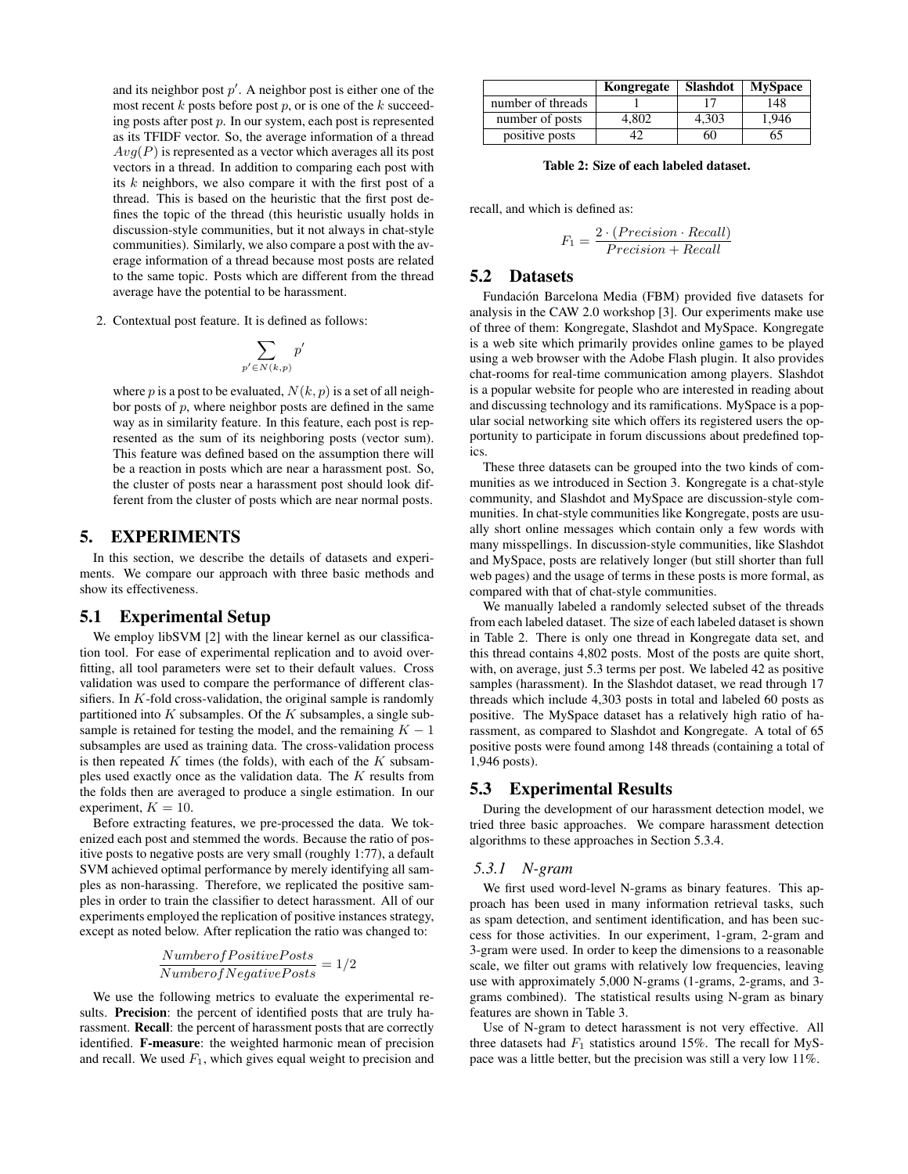and its neighbor post  $p'$ . A neighbor post is either one of the most recent  $k$  posts before post  $p$ , or is one of the  $k$  succeeding posts after post  $p$ . In our system, each post is represented as its TFIDF vector. So, the average information of a thread  $Avg(P)$  is represented as a vector which averages all its post vectors in a thread. In addition to comparing each post with its  $k$  neighbors, we also compare it with the first post of a thread. This is based on the heuristic that the first post defines the topic of the thread (this heuristic usually holds in discussion-style communities, but it not always in chat-style communities). Similarly, we also compare a post with the average information of a thread because most posts are related to the same topic. Posts which are different from the thread average have the potential to be harassment.

2. Contextual post feature. It is defined as follows:

$$
\sum_{p'\in N(k,p)}p
$$

 $\overline{a}$ 

where p is a post to be evaluated,  $N(k, p)$  is a set of all neighbor posts of  $p$ , where neighbor posts are defined in the same way as in similarity feature. In this feature, each post is represented as the sum of its neighboring posts (vector sum). This feature was defined based on the assumption there will be a reaction in posts which are near a harassment post. So, the cluster of posts near a harassment post should look different from the cluster of posts which are near normal posts.

## 5. EXPERIMENTS

In this section, we describe the details of datasets and experiments. We compare our approach with three basic methods and show its effectiveness.

#### 5.1 Experimental Setup

We employ libSVM [2] with the linear kernel as our classification tool. For ease of experimental replication and to avoid overfitting, all tool parameters were set to their default values. Cross validation was used to compare the performance of different classifiers. In  $K$ -fold cross-validation, the original sample is randomly partitioned into  $K$  subsamples. Of the  $K$  subsamples, a single subsample is retained for testing the model, and the remaining  $K - 1$ subsamples are used as training data. The cross-validation process is then repeated  $K$  times (the folds), with each of the  $K$  subsamples used exactly once as the validation data. The K results from the folds then are averaged to produce a single estimation. In our experiment,  $K = 10$ .

Before extracting features, we pre-processed the data. We tokenized each post and stemmed the words. Because the ratio of positive posts to negative posts are very small (roughly 1:77), a default SVM achieved optimal performance by merely identifying all samples as non-harassing. Therefore, we replicated the positive samples in order to train the classifier to detect harassment. All of our experiments employed the replication of positive instances strategy, except as noted below. After replication the ratio was changed to:

$$
\frac{Number of Positive Posts}{Number of Negative Posts} = 1/2
$$

We use the following metrics to evaluate the experimental results. Precision: the percent of identified posts that are truly harassment. Recall: the percent of harassment posts that are correctly identified. F-measure: the weighted harmonic mean of precision and recall. We used  $F_1$ , which gives equal weight to precision and

|                   | Kongregate | Slashdot | <b>MySpace</b> |
|-------------------|------------|----------|----------------|
| number of threads |            |          | 148            |
| number of posts   | 4.802      | 4.303    | 1.946          |
| positive posts    |            | 60       | 65             |

Table 2: Size of each labeled dataset.

recall, and which is defined as:

$$
F_1 = \frac{2 \cdot (Precision \cdot Recall)}{Precision + Recall}
$$

#### 5.2 Datasets

Fundación Barcelona Media (FBM) provided five datasets for analysis in the CAW 2.0 workshop [3]. Our experiments make use of three of them: Kongregate, Slashdot and MySpace. Kongregate is a web site which primarily provides online games to be played using a web browser with the Adobe Flash plugin. It also provides chat-rooms for real-time communication among players. Slashdot is a popular website for people who are interested in reading about and discussing technology and its ramifications. MySpace is a popular social networking site which offers its registered users the opportunity to participate in forum discussions about predefined topics.

These three datasets can be grouped into the two kinds of communities as we introduced in Section 3. Kongregate is a chat-style community, and Slashdot and MySpace are discussion-style communities. In chat-style communities like Kongregate, posts are usually short online messages which contain only a few words with many misspellings. In discussion-style communities, like Slashdot and MySpace, posts are relatively longer (but still shorter than full web pages) and the usage of terms in these posts is more formal, as compared with that of chat-style communities.

We manually labeled a randomly selected subset of the threads from each labeled dataset. The size of each labeled dataset is shown in Table 2. There is only one thread in Kongregate data set, and this thread contains 4,802 posts. Most of the posts are quite short, with, on average, just 5.3 terms per post. We labeled 42 as positive samples (harassment). In the Slashdot dataset, we read through 17 threads which include 4,303 posts in total and labeled 60 posts as positive. The MySpace dataset has a relatively high ratio of harassment, as compared to Slashdot and Kongregate. A total of 65 positive posts were found among 148 threads (containing a total of 1,946 posts).

## 5.3 Experimental Results

During the development of our harassment detection model, we tried three basic approaches. We compare harassment detection algorithms to these approaches in Section 5.3.4.

#### *5.3.1 N-gram*

We first used word-level N-grams as binary features. This approach has been used in many information retrieval tasks, such as spam detection, and sentiment identification, and has been success for those activities. In our experiment, 1-gram, 2-gram and 3-gram were used. In order to keep the dimensions to a reasonable scale, we filter out grams with relatively low frequencies, leaving use with approximately 5,000 N-grams (1-grams, 2-grams, and 3 grams combined). The statistical results using N-gram as binary features are shown in Table 3.

Use of N-gram to detect harassment is not very effective. All three datasets had  $F_1$  statistics around 15%. The recall for MySpace was a little better, but the precision was still a very low 11%.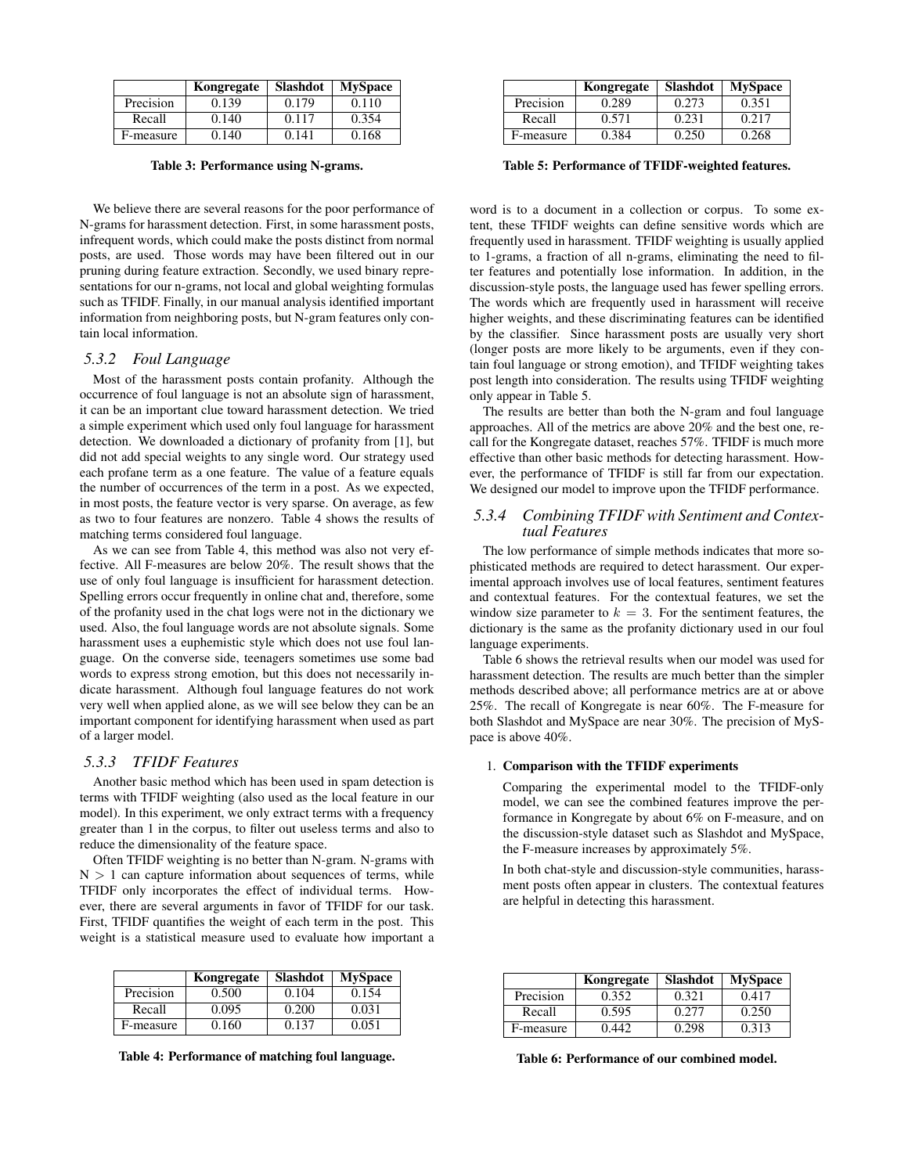|           | Kongregate | <b>Slashdot</b> | <b>MySpace</b> |
|-----------|------------|-----------------|----------------|
| Precision | 0.139      | 0.179           | 0.110          |
| Recall    | 0.140      | 0.117           | 0.354          |
| F-measure | 0.140      | 0.141           | 0.168          |

Table 3: Performance using N-grams.

We believe there are several reasons for the poor performance of N-grams for harassment detection. First, in some harassment posts, infrequent words, which could make the posts distinct from normal posts, are used. Those words may have been filtered out in our pruning during feature extraction. Secondly, we used binary representations for our n-grams, not local and global weighting formulas such as TFIDF. Finally, in our manual analysis identified important information from neighboring posts, but N-gram features only contain local information.

## *5.3.2 Foul Language*

Most of the harassment posts contain profanity. Although the occurrence of foul language is not an absolute sign of harassment, it can be an important clue toward harassment detection. We tried a simple experiment which used only foul language for harassment detection. We downloaded a dictionary of profanity from [1], but did not add special weights to any single word. Our strategy used each profane term as a one feature. The value of a feature equals the number of occurrences of the term in a post. As we expected, in most posts, the feature vector is very sparse. On average, as few as two to four features are nonzero. Table 4 shows the results of matching terms considered foul language.

As we can see from Table 4, this method was also not very effective. All F-measures are below 20%. The result shows that the use of only foul language is insufficient for harassment detection. Spelling errors occur frequently in online chat and, therefore, some of the profanity used in the chat logs were not in the dictionary we used. Also, the foul language words are not absolute signals. Some harassment uses a euphemistic style which does not use foul language. On the converse side, teenagers sometimes use some bad words to express strong emotion, but this does not necessarily indicate harassment. Although foul language features do not work very well when applied alone, as we will see below they can be an important component for identifying harassment when used as part of a larger model.

## *5.3.3 TFIDF Features*

Another basic method which has been used in spam detection is terms with TFIDF weighting (also used as the local feature in our model). In this experiment, we only extract terms with a frequency greater than 1 in the corpus, to filter out useless terms and also to reduce the dimensionality of the feature space.

Often TFIDF weighting is no better than N-gram. N-grams with  $N > 1$  can capture information about sequences of terms, while TFIDF only incorporates the effect of individual terms. However, there are several arguments in favor of TFIDF for our task. First, TFIDF quantifies the weight of each term in the post. This weight is a statistical measure used to evaluate how important a

|           | Kongregate | <b>Slashdot</b> | <b>MySpace</b> |
|-----------|------------|-----------------|----------------|
| Precision | 0.500      | 0.104           | 0.154          |
| Recall    | 0.095      | 0.200           | 0.031          |
| F-measure | 0.160      | 0.137           | 0.051          |

Table 4: Performance of matching foul language.

|           | Kongregate | <b>Slashdot</b> | <b>MySpace</b> |
|-----------|------------|-----------------|----------------|
| Precision | 0.289      | 0.273           | 0.351          |
| Recall    | 0.571      | 0.231           | 0.217          |
| F-measure | 0.384      | 0.250           | 0.268          |

Table 5: Performance of TFIDF-weighted features.

word is to a document in a collection or corpus. To some extent, these TFIDF weights can define sensitive words which are frequently used in harassment. TFIDF weighting is usually applied to 1-grams, a fraction of all n-grams, eliminating the need to filter features and potentially lose information. In addition, in the discussion-style posts, the language used has fewer spelling errors. The words which are frequently used in harassment will receive higher weights, and these discriminating features can be identified by the classifier. Since harassment posts are usually very short (longer posts are more likely to be arguments, even if they contain foul language or strong emotion), and TFIDF weighting takes post length into consideration. The results using TFIDF weighting only appear in Table 5.

The results are better than both the N-gram and foul language approaches. All of the metrics are above 20% and the best one, recall for the Kongregate dataset, reaches 57%. TFIDF is much more effective than other basic methods for detecting harassment. However, the performance of TFIDF is still far from our expectation. We designed our model to improve upon the TFIDF performance.

#### *5.3.4 Combining TFIDF with Sentiment and Contextual Features*

The low performance of simple methods indicates that more sophisticated methods are required to detect harassment. Our experimental approach involves use of local features, sentiment features and contextual features. For the contextual features, we set the window size parameter to  $k = 3$ . For the sentiment features, the dictionary is the same as the profanity dictionary used in our foul language experiments.

Table 6 shows the retrieval results when our model was used for harassment detection. The results are much better than the simpler methods described above; all performance metrics are at or above 25%. The recall of Kongregate is near 60%. The F-measure for both Slashdot and MySpace are near 30%. The precision of MySpace is above 40%.

#### 1. Comparison with the TFIDF experiments

Comparing the experimental model to the TFIDF-only model, we can see the combined features improve the performance in Kongregate by about 6% on F-measure, and on the discussion-style dataset such as Slashdot and MySpace, the F-measure increases by approximately 5%.

In both chat-style and discussion-style communities, harassment posts often appear in clusters. The contextual features are helpful in detecting this harassment.

|           | Kongregate | <b>Slashdot</b> | <b>MySpace</b> |
|-----------|------------|-----------------|----------------|
| Precision | 0.352      | 0.321           | 0.417          |
| Recall    | 0.595      | 0.277           | 0.250          |
| F-measure | N 442      | 0.298           | 0.313          |

Table 6: Performance of our combined model.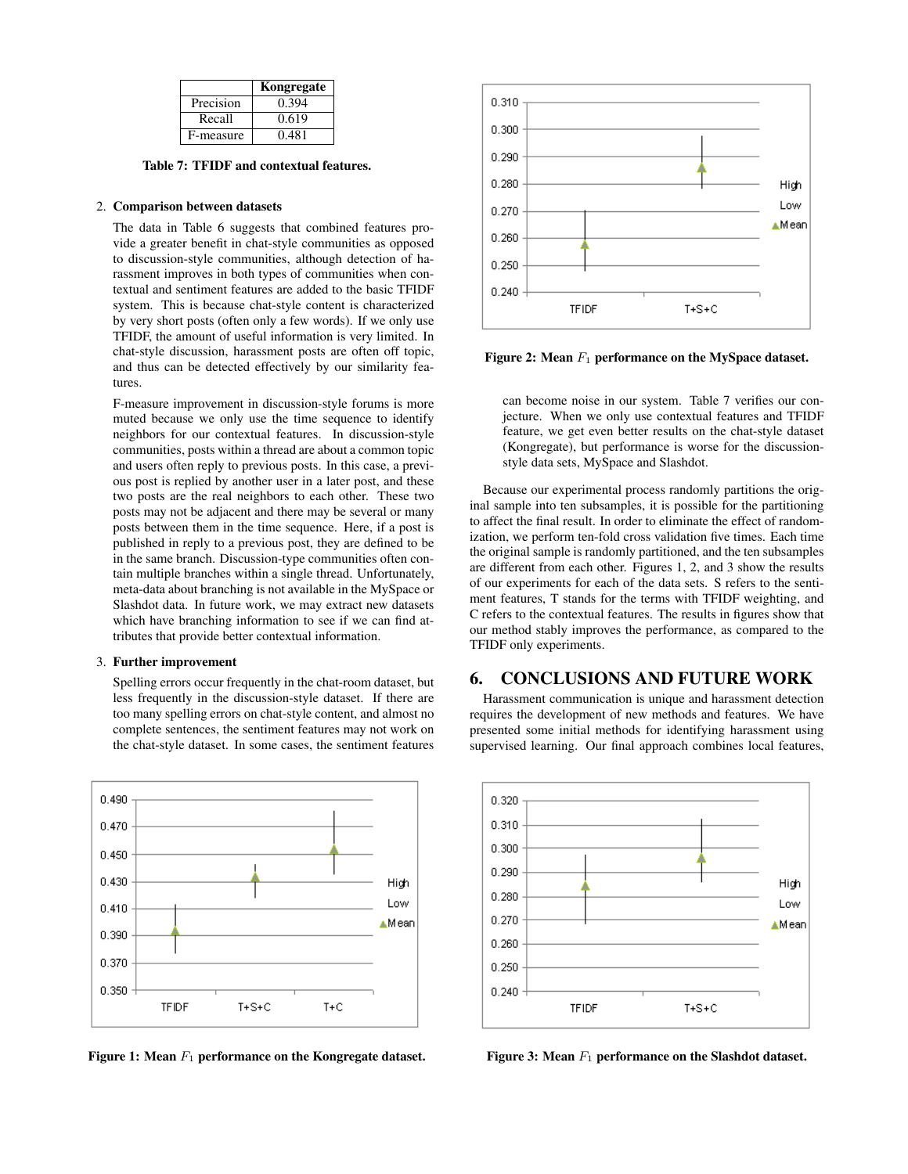|           | Kongregate |
|-----------|------------|
| Precision | 0.394      |
| Recall    | 0.619      |
| F-measure | 0.481      |

Table 7: TFIDF and contextual features.

#### 2. Comparison between datasets

The data in Table 6 suggests that combined features provide a greater benefit in chat-style communities as opposed to discussion-style communities, although detection of harassment improves in both types of communities when contextual and sentiment features are added to the basic TFIDF system. This is because chat-style content is characterized by very short posts (often only a few words). If we only use TFIDF, the amount of useful information is very limited. In chat-style discussion, harassment posts are often off topic, and thus can be detected effectively by our similarity features.

F-measure improvement in discussion-style forums is more muted because we only use the time sequence to identify neighbors for our contextual features. In discussion-style communities, posts within a thread are about a common topic and users often reply to previous posts. In this case, a previous post is replied by another user in a later post, and these two posts are the real neighbors to each other. These two posts may not be adjacent and there may be several or many posts between them in the time sequence. Here, if a post is published in reply to a previous post, they are defined to be in the same branch. Discussion-type communities often contain multiple branches within a single thread. Unfortunately, meta-data about branching is not available in the MySpace or Slashdot data. In future work, we may extract new datasets which have branching information to see if we can find attributes that provide better contextual information.

#### 3. Further improvement

Spelling errors occur frequently in the chat-room dataset, but less frequently in the discussion-style dataset. If there are too many spelling errors on chat-style content, and almost no complete sentences, the sentiment features may not work on the chat-style dataset. In some cases, the sentiment features



Figure 1: Mean  $F_1$  performance on the Kongregate dataset.



Figure 2: Mean  $F_1$  performance on the MySpace dataset.

can become noise in our system. Table 7 verifies our conjecture. When we only use contextual features and TFIDF feature, we get even better results on the chat-style dataset (Kongregate), but performance is worse for the discussionstyle data sets, MySpace and Slashdot.

Because our experimental process randomly partitions the original sample into ten subsamples, it is possible for the partitioning to affect the final result. In order to eliminate the effect of randomization, we perform ten-fold cross validation five times. Each time the original sample is randomly partitioned, and the ten subsamples are different from each other. Figures 1, 2, and 3 show the results of our experiments for each of the data sets. S refers to the sentiment features, T stands for the terms with TFIDF weighting, and C refers to the contextual features. The results in figures show that our method stably improves the performance, as compared to the TFIDF only experiments.

## 6. CONCLUSIONS AND FUTURE WORK

Harassment communication is unique and harassment detection requires the development of new methods and features. We have presented some initial methods for identifying harassment using supervised learning. Our final approach combines local features,



Figure 3: Mean  $F_1$  performance on the Slashdot dataset.